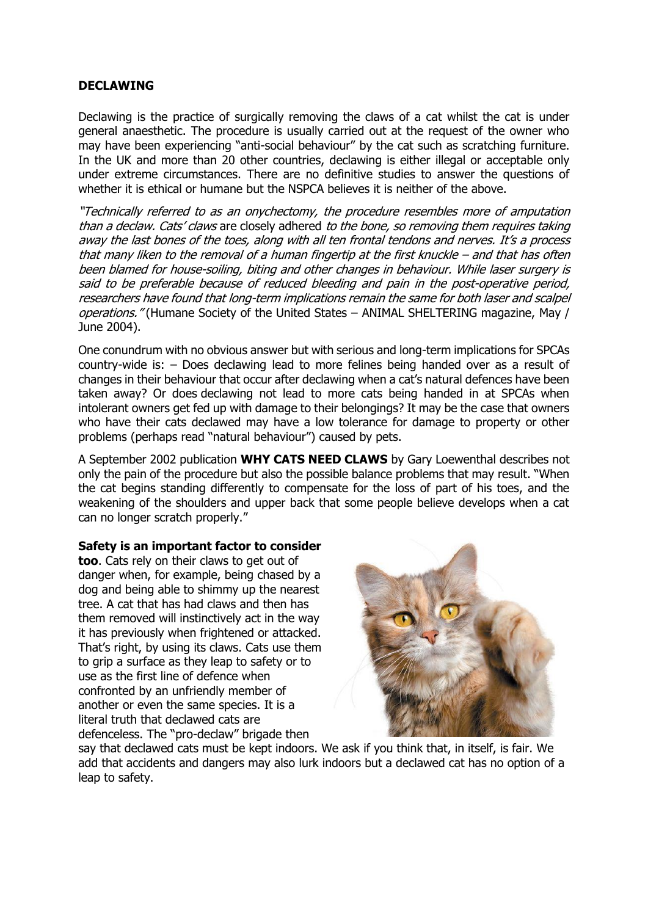## **DECLAWING**

Declawing is the practice of surgically removing the claws of a cat whilst the cat is under general anaesthetic. The procedure is usually carried out at the request of the owner who may have been experiencing "anti-social behaviour" by the cat such as scratching furniture. In the UK and more than 20 other countries, declawing is either illegal or acceptable only under extreme circumstances. There are no definitive studies to answer the questions of whether it is ethical or humane but the NSPCA believes it is neither of the above.

"Technically referred to as an onychectomy, the procedure resembles more of amputation than a declaw. Cats' claws are closely adhered to the bone, so removing them requires taking away the last bones of the toes, along with all ten frontal tendons and nerves. It's <sup>a</sup> process that many liken to the removal of <sup>a</sup> human fingertip at the first knuckle – and that has often been blamed for house-soiling, biting and other changes in behaviour. While laser surgery is said to be preferable because of reduced bleeding and pain in the post-operative period, researchers have found that long-term implications remain the same for both laser and scalpel operations." (Humane Society of the United States – ANIMAL SHELTERING magazine, May / June 2004).

One conundrum with no obvious answer but with serious and long-term implications for SPCAs country-wide is: – Does declawing lead to more felines being handed over as a result of changes in their behaviour that occur after declawing when a cat's natural defences have been taken away? Or does declawing not lead to more cats being handed in at SPCAs when intolerant owners get fed up with damage to their belongings? It may be the case that owners who have their cats declawed may have a low tolerance for damage to property or other problems (perhaps read "natural behaviour") caused by pets.

A September 2002 publication **WHY CATS NEED CLAWS** by Gary Loewenthal describes not only the pain of the procedure but also the possible balance problems that may result. "When the cat begins standing differently to compensate for the loss of part of his toes, and the weakening of the shoulders and upper back that some people believe develops when a cat can no longer scratch properly."

## **Safety is an important factor to consider**

**too**. Cats rely on their claws to get out of danger when, for example, being chased by a dog and being able to shimmy up the nearest tree. A cat that has had claws and then has them removed will instinctively act in the way it has previously when frightened or attacked. That's right, by using its claws. Cats use them to grip a surface as they leap to safety or to use as the first line of defence when confronted by an unfriendly member of another or even the same species. It is a literal truth that declawed cats are defenceless. The "pro-declaw" brigade then



say that declawed cats must be kept indoors. We ask if you think that, in itself, is fair. We add that accidents and dangers may also lurk indoors but a declawed cat has no option of a leap to safety.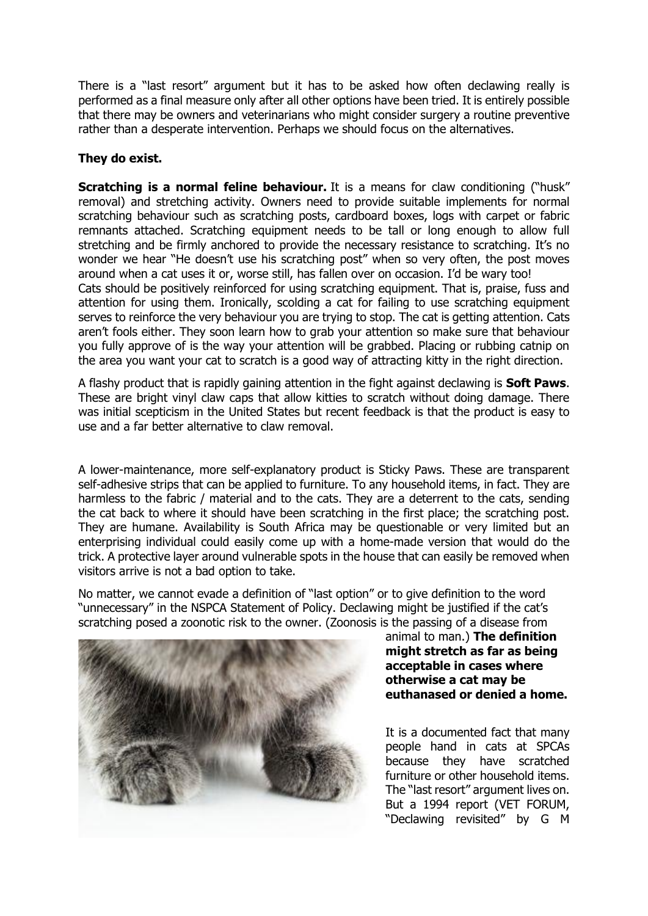There is a "last resort" argument but it has to be asked how often declawing really is performed as a final measure only after all other options have been tried. It is entirely possible that there may be owners and veterinarians who might consider surgery a routine preventive rather than a desperate intervention. Perhaps we should focus on the alternatives.

## **They do exist.**

**Scratching is a normal feline behaviour.** It is a means for claw conditioning ("husk" removal) and stretching activity. Owners need to provide suitable implements for normal scratching behaviour such as scratching posts, cardboard boxes, logs with carpet or fabric remnants attached. Scratching equipment needs to be tall or long enough to allow full stretching and be firmly anchored to provide the necessary resistance to scratching. It's no wonder we hear "He doesn't use his scratching post" when so very often, the post moves around when a cat uses it or, worse still, has fallen over on occasion. I'd be wary too! Cats should be positively reinforced for using scratching equipment. That is, praise, fuss and attention for using them. Ironically, scolding a cat for failing to use scratching equipment serves to reinforce the very behaviour you are trying to stop. The cat is getting attention. Cats aren't fools either. They soon learn how to grab your attention so make sure that behaviour you fully approve of is the way your attention will be grabbed. Placing or rubbing catnip on the area you want your cat to scratch is a good way of attracting kitty in the right direction.

A flashy product that is rapidly gaining attention in the fight against declawing is **Soft Paws**. These are bright vinyl claw caps that allow kitties to scratch without doing damage. There was initial scepticism in the United States but recent feedback is that the product is easy to use and a far better alternative to claw removal.

A lower-maintenance, more self-explanatory product is Sticky Paws. These are transparent self-adhesive strips that can be applied to furniture. To any household items, in fact. They are harmless to the fabric / material and to the cats. They are a deterrent to the cats, sending the cat back to where it should have been scratching in the first place; the scratching post. They are humane. Availability is South Africa may be questionable or very limited but an enterprising individual could easily come up with a home-made version that would do the trick. A protective layer around vulnerable spots in the house that can easily be removed when visitors arrive is not a bad option to take.

No matter, we cannot evade a definition of "last option" or to give definition to the word "unnecessary" in the NSPCA Statement of Policy. Declawing might be justified if the cat's scratching posed a zoonotic risk to the owner. (Zoonosis is the passing of a disease from



animal to man.) **The definition might stretch as far as being acceptable in cases where otherwise a cat may be euthanased or denied a home.**

It is a documented fact that many people hand in cats at SPCAs because they have scratched furniture or other household items. The "last resort" argument lives on. But a 1994 report (VET FORUM, "Declawing revisited" by G M